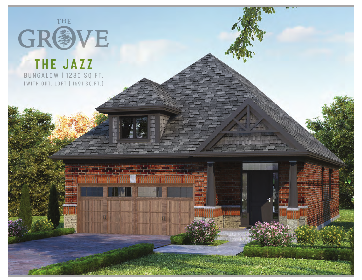

## **THE JAZZ** BUNGALOW | 1230 SQ.FT. (WITH OPT. LOFT | 1691 SQ.FT.)

**ANAN DEMOGRAF**